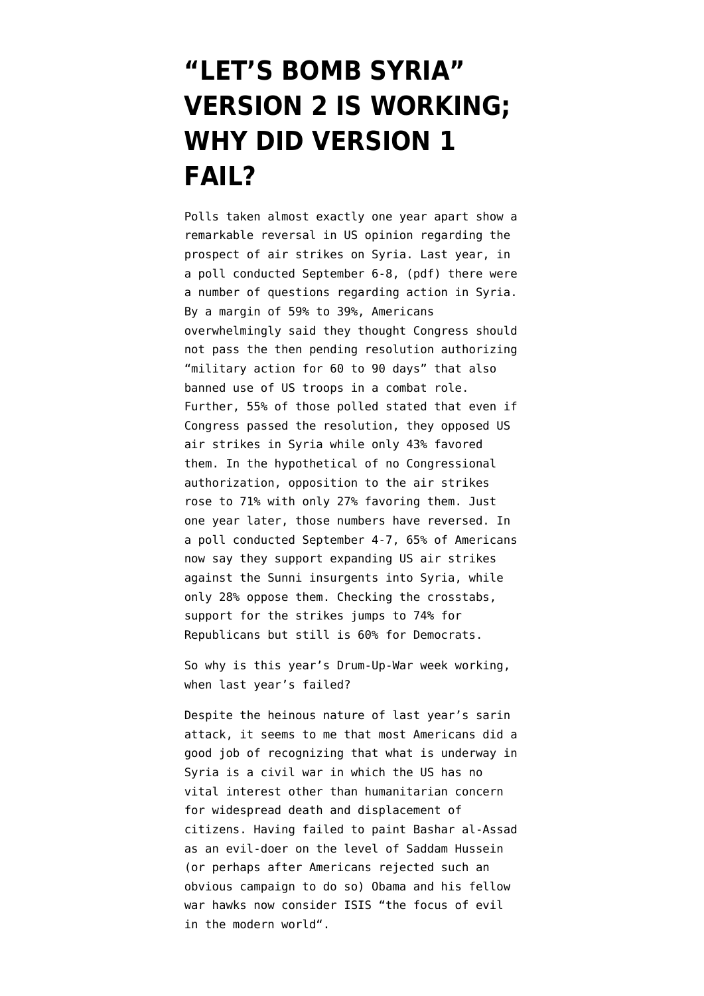## **["LET'S BOMB SYRIA"](https://www.emptywheel.net/2014/09/10/lets-bomb-syria-version-2-is-working-why-did-version-1-fail/) [VERSION 2 IS WORKING;](https://www.emptywheel.net/2014/09/10/lets-bomb-syria-version-2-is-working-why-did-version-1-fail/) [WHY DID VERSION 1](https://www.emptywheel.net/2014/09/10/lets-bomb-syria-version-2-is-working-why-did-version-1-fail/) [FAIL?](https://www.emptywheel.net/2014/09/10/lets-bomb-syria-version-2-is-working-why-did-version-1-fail/)**

Polls taken almost exactly one year apart show a remarkable reversal in US opinion regarding the prospect of air strikes on Syria. Last year, in a [poll conducted September 6-8,](http://i2.cdn.turner.com/cnn/2013/images/09/09/6a.poll.syria.pdf) (pdf) there were a number of questions regarding action in Syria. By a margin of 59% to 39%, Americans overwhelmingly said they thought Congress should not pass the then pending resolution authorizing "military action for 60 to 90 days" that also banned use of US troops in a combat role. Further, 55% of those polled stated that even if Congress passed the resolution, they opposed US air strikes in Syria while only 43% favored them. In the hypothetical of no Congressional authorization, opposition to the air strikes rose to 71% with only 27% favoring them. Just one year later, those numbers have reversed. In a [poll conducted September 4-7,](http://www.washingtonpost.com/page/2010-2019/WashingtonPost/2014/09/09/National-Politics/Polling/question_14550.xml?uuid=Y-f_SDfWEeSgIx1h9_MaBQ) 65% of Americans now say they support expanding US air strikes against the Sunni insurgents into Syria, while only 28% oppose them. Checking the crosstabs, support for the strikes jumps to 74% for Republicans but still is 60% for Democrats.

So why is this year's [Drum-Up-War week](http://www.emptywheel.net/2014/09/08/happy-monday-of-drum-up-war-week/) working, when last year's failed?

Despite the heinous nature of last year's sarin attack, it seems to me that most Americans did a good job of recognizing that what is underway in Syria is a civil war in which the US has no vital interest other than humanitarian concern for widespread death and displacement of citizens. Having failed to paint Bashar al-Assad as an evil-doer on the level of Saddam Hussein (or perhaps after Americans rejected such an obvious campaign to do so) Obama and his fellow war hawks now consider ISIS ["the focus of evil](http://www.emptywheel.net/2014/08/29/against-drumbeat-of-war-with-isis-chris-murphy-delivers-healthy-dose-of-skepticism/) [in the modern world](http://www.emptywheel.net/2014/08/29/against-drumbeat-of-war-with-isis-chris-murphy-delivers-healthy-dose-of-skepticism/)".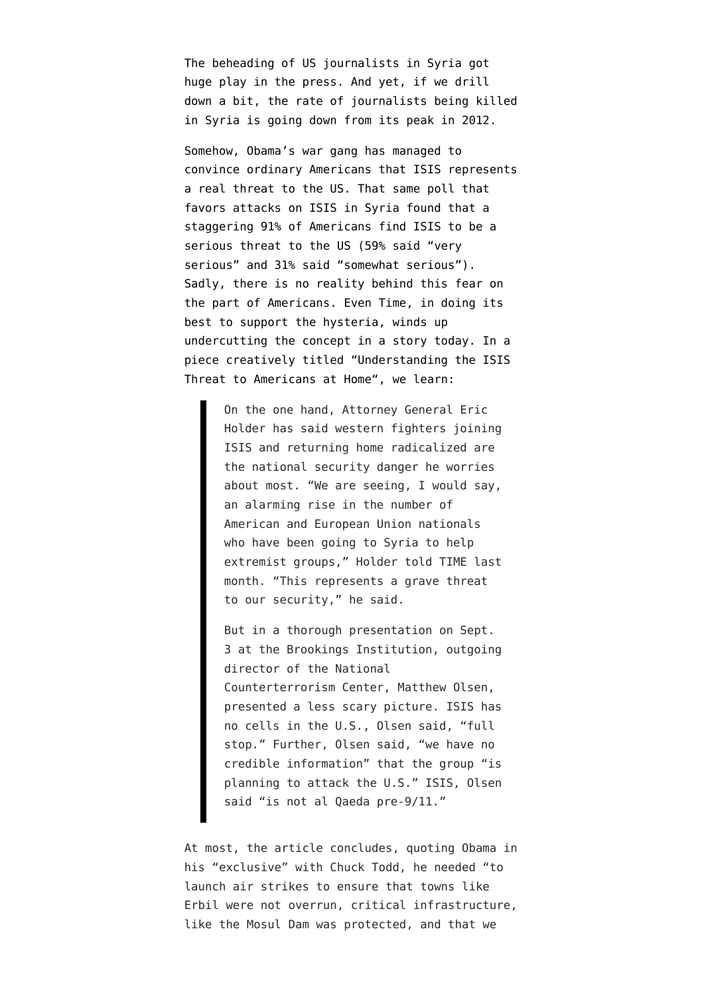The beheading of US journalists in Syria got huge play in the press. And yet, if we drill down a bit, the rate of [journalists being killed](https://cpj.org/killed/mideast/syria/) [in Syria is going down from its peak in 2012](https://cpj.org/killed/mideast/syria/).

Somehow, Obama's war gang has managed to convince ordinary Americans that ISIS represents a real threat to the US. That same poll that favors attacks on ISIS in Syria found that a staggering 91% of Americans find ISIS to be a serious threat to the US (59% said "very serious" and 31% said "somewhat serious"). Sadly, there is no reality behind this fear on the part of Americans. Even Time, in doing its best to support the hysteria, winds up undercutting the concept in a story today. In a piece creatively titled "[Understanding the ISIS](http://time.com/3313613/isis-barack-obama-terrorism-threat/) [Threat to Americans at Home](http://time.com/3313613/isis-barack-obama-terrorism-threat/)", we learn:

> On the one hand, Attorney General Eric Holder has said western fighters joining ISIS and returning home radicalized are the national security danger he worries about most. "We are seeing, I would say, an alarming rise in the number of American and European Union nationals who have been going to Syria to help extremist groups," Holder told TIME last month. "This represents a grave threat to our security," he said.

> But in a thorough presentation on Sept. 3 at the Brookings Institution, outgoing director of the National Counterterrorism Center, Matthew Olsen, presented a less scary picture. ISIS has no cells in the U.S., Olsen said, "full stop." Further, Olsen said, "we have no credible information" that the group "is planning to attack the U.S." ISIS, Olsen said "is not al Qaeda pre-9/11."

At most, the article concludes, quoting Obama in his "exclusive" with Chuck Todd, he needed "to launch air strikes to ensure that towns like Erbil were not overrun, critical infrastructure, like the Mosul Dam was protected, and that we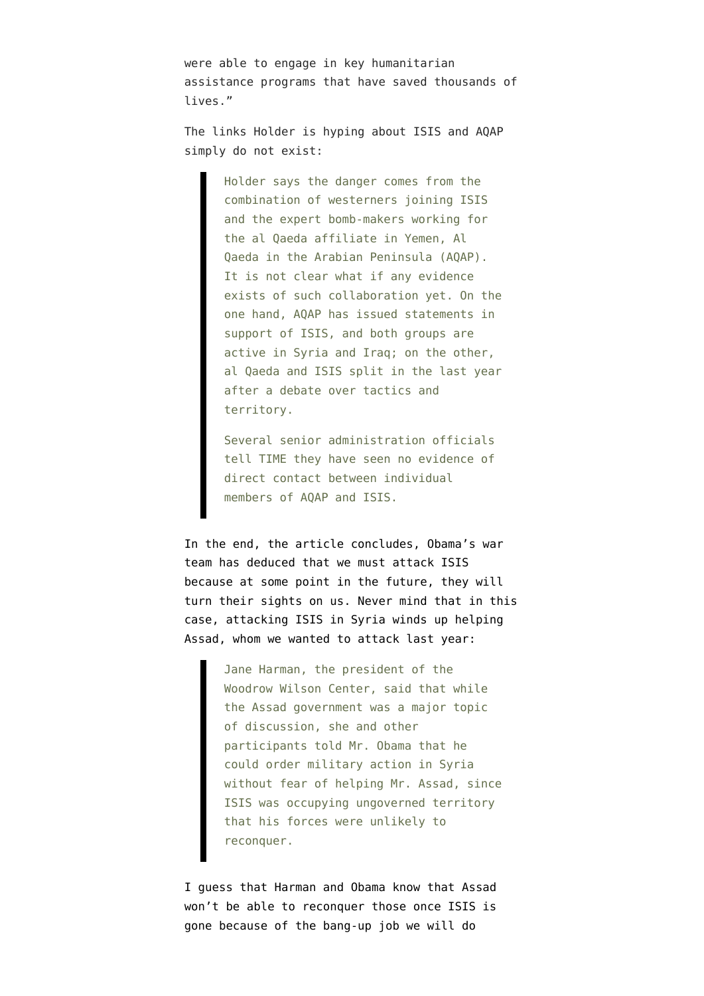were able to engage in key humanitarian assistance programs that have saved thousands of lives."

The links Holder is hyping about ISIS and AQAP simply do not exist:

> Holder says the danger comes from the combination of westerners joining ISIS and the expert bomb-makers working for the al Qaeda affiliate in Yemen, Al Qaeda in the Arabian Peninsula (AQAP). It is not clear what if any evidence exists of such collaboration yet. On the one hand, AQAP has issued statements in support of ISIS, and both groups are active in Syria and Iraq; on the other, al Qaeda and ISIS split in the last year after a debate over tactics and territory.

Several senior administration officials tell TIME they have seen no evidence of direct contact between individual members of AQAP and ISIS.

In the end, the article concludes, Obama's war team has deduced that we must attack ISIS because at some point in the future, they will turn their sights on us. Never mind that in this case, [attacking ISIS in Syria winds up helping](http://www.nytimes.com/2014/09/10/us/obama-isis-congress.html) [Assad](http://www.nytimes.com/2014/09/10/us/obama-isis-congress.html), whom we wanted to attack last year:

> Jane Harman, the president of the Woodrow Wilson Center, said that while the Assad government was a major topic of discussion, she and other participants told Mr. Obama that he could order military action in Syria without fear of helping Mr. Assad, since ISIS was occupying ungoverned territory that his forces were unlikely to reconquer.

I guess that Harman and Obama know that Assad won't be able to reconquer those once ISIS is gone because of the bang-up job we will do